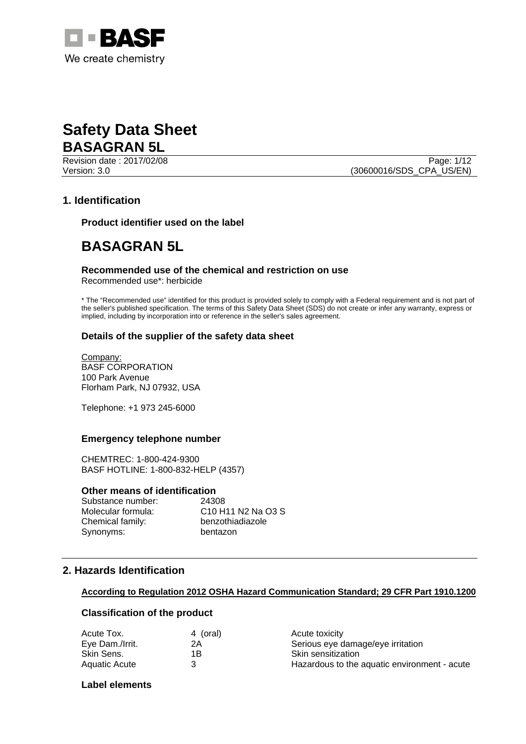

Revision date : 2017/02/08 Page: 1/12 Version: 3.0 (30600016/SDS\_CPA\_US/EN)

# **1. Identification**

**Product identifier used on the label** 

# **BASAGRAN 5L**

# **Recommended use of the chemical and restriction on use**

Recommended use\*: herbicide

\* The "Recommended use" identified for this product is provided solely to comply with a Federal requirement and is not part of the seller's published specification. The terms of this Safety Data Sheet (SDS) do not create or infer any warranty, express or implied, including by incorporation into or reference in the seller's sales agreement.

### **Details of the supplier of the safety data sheet**

Company: BASF CORPORATION 100 Park Avenue Florham Park, NJ 07932, USA

Telephone: +1 973 245-6000

### **Emergency telephone number**

CHEMTREC: 1-800-424-9300 BASF HOTLINE: 1-800-832-HELP (4357)

### **Other means of identification**

| Substance number:  | 24308                                                                          |
|--------------------|--------------------------------------------------------------------------------|
| Molecular formula: | C <sub>10</sub> H <sub>11</sub> N <sub>2</sub> N <sub>a</sub> O <sub>3</sub> S |
| Chemical family:   | benzothiadiazole                                                               |
| Synonyms:          | bentazon                                                                       |

# **2. Hazards Identification**

#### **According to Regulation 2012 OSHA Hazard Communication Standard; 29 CFR Part 1910.1200**

### **Classification of the product**

| 4 (oral) | Acute toxicity                               |
|----------|----------------------------------------------|
| 2Α       | Serious eye damage/eye irritation            |
| 1Β       | Skin sensitization                           |
|          | Hazardous to the aquatic environment - acute |
|          |                                              |

### **Label elements**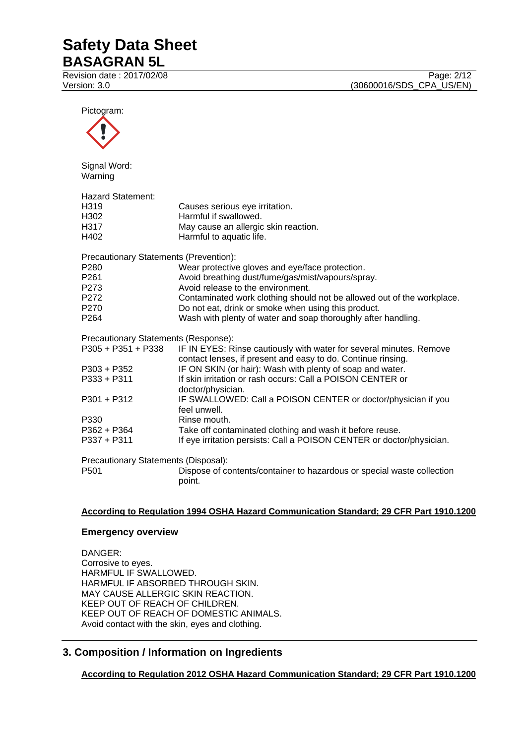Revision date : 2017/02/08 Page: 2/12

Version: 3.0 **(30600016/SDS\_CPA\_US/EN)** 

Pictogram: Signal Word: Warning Hazard Statement: H319 Causes serious eye irritation. H<sub>302</sub> Harmful if swallowed.<br>H<sub>317</sub> H<sub>317</sub> H<sub>317</sub> May cause an allergic H317 May cause an allergic skin reaction.<br>H402 Harmful to aquatic life. Harmful to aquatic life. Precautionary Statements (Prevention): P280 Wear protective gloves and eye/face protection. P261 Avoid breathing dust/fume/gas/mist/vapours/spray. P273 Avoid release to the environment. P272 Contaminated work clothing should not be allowed out of the workplace. P270 Do not eat, drink or smoke when using this product. P264 Wash with plenty of water and soap thoroughly after handling. Precautionary Statements (Response): P305 + P351 + P338 IF IN EYES: Rinse cautiously with water for several minutes. Remove contact lenses, if present and easy to do. Continue rinsing. P303 + P352 IF ON SKIN (or hair): Wash with plenty of soap and water. P333 + P311 If skin irritation or rash occurs: Call a POISON CENTER or doctor/physician. P301 + P312 IF SWALLOWED: Call a POISON CENTER or doctor/physician if you feel unwell. P330 Rinse mouth. P362 + P364 Take off contaminated clothing and wash it before reuse.<br>P337 + P311 If eve irritation persists: Call a POISON CENTER or doctor If eye irritation persists: Call a POISON CENTER or doctor/physician. Precautionary Statements (Disposal): P501 Dispose of contents/container to hazardous or special waste collection point.

### **According to Regulation 1994 OSHA Hazard Communication Standard; 29 CFR Part 1910.1200**

### **Emergency overview**

DANGER: Corrosive to eyes. HARMFUL IF SWALLOWED. HARMFUL IF ABSORBED THROUGH SKIN. MAY CAUSE ALLERGIC SKIN REACTION. KEEP OUT OF REACH OF CHILDREN. KEEP OUT OF REACH OF DOMESTIC ANIMALS. Avoid contact with the skin, eyes and clothing.

# **3. Composition / Information on Ingredients**

**According to Regulation 2012 OSHA Hazard Communication Standard; 29 CFR Part 1910.1200**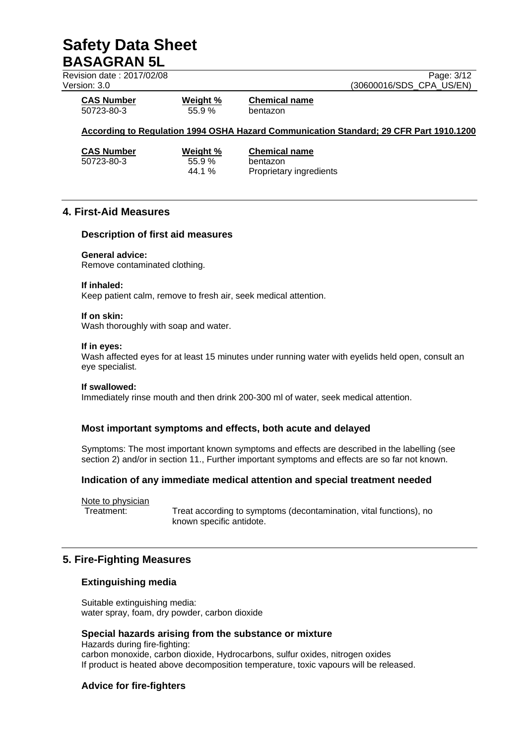| Revision date: 2017/02/08 |          | Page: 3/12                                                                             |
|---------------------------|----------|----------------------------------------------------------------------------------------|
| Version: 3.0              |          | (30600016/SDS CPA US/EN)                                                               |
| <b>CAS Number</b>         | Weight % | <b>Chemical name</b>                                                                   |
| 50723-80-3                | 55.9%    | bentazon                                                                               |
|                           |          | According to Regulation 1994 OSHA Hazard Communication Standard; 29 CFR Part 1910.1200 |
| <b>CAS Number</b>         | Weight % | <b>Chemical name</b>                                                                   |
| 50723-80-3                | 55.9%    | bentazon                                                                               |
|                           | 44.1 %   | Proprietary ingredients                                                                |

# **4. First-Aid Measures**

### **Description of first aid measures**

### **General advice:**

Remove contaminated clothing.

#### **If inhaled:**

Keep patient calm, remove to fresh air, seek medical attention.

#### **If on skin:**

Wash thoroughly with soap and water.

#### **If in eyes:**

Wash affected eyes for at least 15 minutes under running water with eyelids held open, consult an eye specialist.

#### **If swallowed:**

Immediately rinse mouth and then drink 200-300 ml of water, seek medical attention.

# **Most important symptoms and effects, both acute and delayed**

Symptoms: The most important known symptoms and effects are described in the labelling (see section 2) and/or in section 11., Further important symptoms and effects are so far not known.

### **Indication of any immediate medical attention and special treatment needed**

Note to physician

Treatment: Treat according to symptoms (decontamination, vital functions), no known specific antidote.

# **5. Fire-Fighting Measures**

# **Extinguishing media**

Suitable extinguishing media: water spray, foam, dry powder, carbon dioxide

### **Special hazards arising from the substance or mixture**

Hazards during fire-fighting: carbon monoxide, carbon dioxide, Hydrocarbons, sulfur oxides, nitrogen oxides If product is heated above decomposition temperature, toxic vapours will be released.

# **Advice for fire-fighters**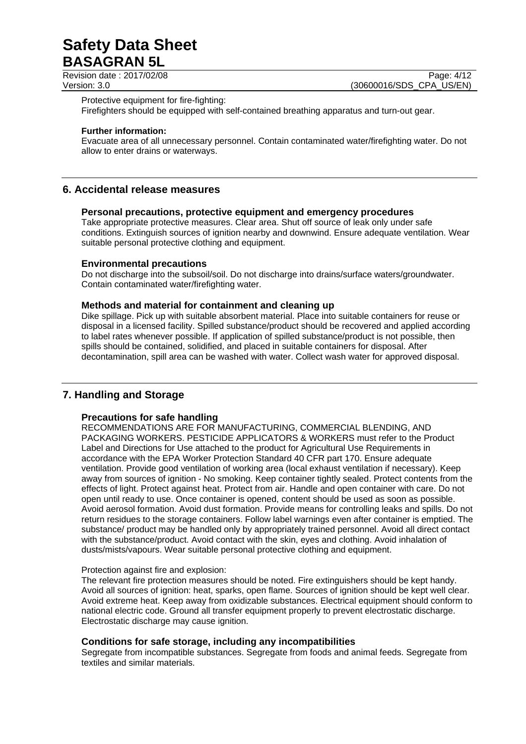Revision date : 2017/02/08 Page: 4/12

Version: 3.0 **(30600016/SDS\_CPA\_US/EN)** 

Protective equipment for fire-fighting:

Firefighters should be equipped with self-contained breathing apparatus and turn-out gear.

#### **Further information:**

Evacuate area of all unnecessary personnel. Contain contaminated water/firefighting water. Do not allow to enter drains or waterways.

# **6. Accidental release measures**

### **Personal precautions, protective equipment and emergency procedures**

Take appropriate protective measures. Clear area. Shut off source of leak only under safe conditions. Extinguish sources of ignition nearby and downwind. Ensure adequate ventilation. Wear suitable personal protective clothing and equipment.

#### **Environmental precautions**

Do not discharge into the subsoil/soil. Do not discharge into drains/surface waters/groundwater. Contain contaminated water/firefighting water.

### **Methods and material for containment and cleaning up**

Dike spillage. Pick up with suitable absorbent material. Place into suitable containers for reuse or disposal in a licensed facility. Spilled substance/product should be recovered and applied according to label rates whenever possible. If application of spilled substance/product is not possible, then spills should be contained, solidified, and placed in suitable containers for disposal. After decontamination, spill area can be washed with water. Collect wash water for approved disposal.

# **7. Handling and Storage**

### **Precautions for safe handling**

RECOMMENDATIONS ARE FOR MANUFACTURING, COMMERCIAL BLENDING, AND PACKAGING WORKERS. PESTICIDE APPLICATORS & WORKERS must refer to the Product Label and Directions for Use attached to the product for Agricultural Use Requirements in accordance with the EPA Worker Protection Standard 40 CFR part 170. Ensure adequate ventilation. Provide good ventilation of working area (local exhaust ventilation if necessary). Keep away from sources of ignition - No smoking. Keep container tightly sealed. Protect contents from the effects of light. Protect against heat. Protect from air. Handle and open container with care. Do not open until ready to use. Once container is opened, content should be used as soon as possible. Avoid aerosol formation. Avoid dust formation. Provide means for controlling leaks and spills. Do not return residues to the storage containers. Follow label warnings even after container is emptied. The substance/ product may be handled only by appropriately trained personnel. Avoid all direct contact with the substance/product. Avoid contact with the skin, eyes and clothing. Avoid inhalation of dusts/mists/vapours. Wear suitable personal protective clothing and equipment.

#### Protection against fire and explosion:

The relevant fire protection measures should be noted. Fire extinguishers should be kept handy. Avoid all sources of ignition: heat, sparks, open flame. Sources of ignition should be kept well clear. Avoid extreme heat. Keep away from oxidizable substances. Electrical equipment should conform to national electric code. Ground all transfer equipment properly to prevent electrostatic discharge. Electrostatic discharge may cause ignition.

### **Conditions for safe storage, including any incompatibilities**

Segregate from incompatible substances. Segregate from foods and animal feeds. Segregate from textiles and similar materials.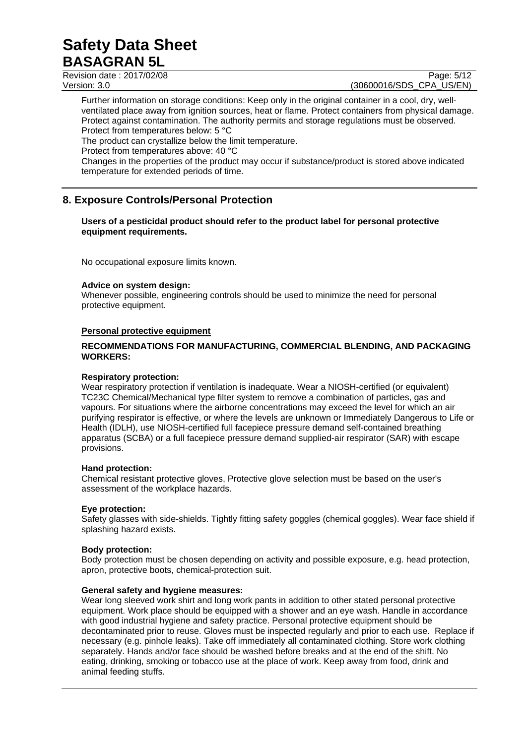Revision date : 2017/02/08 Page: 5/12<br>Version: 3.0 (30600016/SDS\_CPA\_US/EN)

(30600016/SDS CPA US/EN)

Further information on storage conditions: Keep only in the original container in a cool, dry, wellventilated place away from ignition sources, heat or flame. Protect containers from physical damage. Protect against contamination. The authority permits and storage regulations must be observed. Protect from temperatures below: 5 °C

The product can crystallize below the limit temperature.

Protect from temperatures above: 40 °C

Changes in the properties of the product may occur if substance/product is stored above indicated temperature for extended periods of time.

# **8. Exposure Controls/Personal Protection**

### **Users of a pesticidal product should refer to the product label for personal protective equipment requirements.**

No occupational exposure limits known.

### **Advice on system design:**

Whenever possible, engineering controls should be used to minimize the need for personal protective equipment.

### **Personal protective equipment**

### **RECOMMENDATIONS FOR MANUFACTURING, COMMERCIAL BLENDING, AND PACKAGING WORKERS:**

### **Respiratory protection:**

Wear respiratory protection if ventilation is inadequate. Wear a NIOSH-certified (or equivalent) TC23C Chemical/Mechanical type filter system to remove a combination of particles, gas and vapours. For situations where the airborne concentrations may exceed the level for which an air purifying respirator is effective, or where the levels are unknown or Immediately Dangerous to Life or Health (IDLH), use NIOSH-certified full facepiece pressure demand self-contained breathing apparatus (SCBA) or a full facepiece pressure demand supplied-air respirator (SAR) with escape provisions.

### **Hand protection:**

Chemical resistant protective gloves, Protective glove selection must be based on the user's assessment of the workplace hazards.

### **Eye protection:**

Safety glasses with side-shields. Tightly fitting safety goggles (chemical goggles). Wear face shield if splashing hazard exists.

### **Body protection:**

Body protection must be chosen depending on activity and possible exposure, e.g. head protection, apron, protective boots, chemical-protection suit.

# **General safety and hygiene measures:**

Wear long sleeved work shirt and long work pants in addition to other stated personal protective equipment. Work place should be equipped with a shower and an eye wash. Handle in accordance with good industrial hygiene and safety practice. Personal protective equipment should be decontaminated prior to reuse. Gloves must be inspected regularly and prior to each use. Replace if necessary (e.g. pinhole leaks). Take off immediately all contaminated clothing. Store work clothing separately. Hands and/or face should be washed before breaks and at the end of the shift. No eating, drinking, smoking or tobacco use at the place of work. Keep away from food, drink and animal feeding stuffs.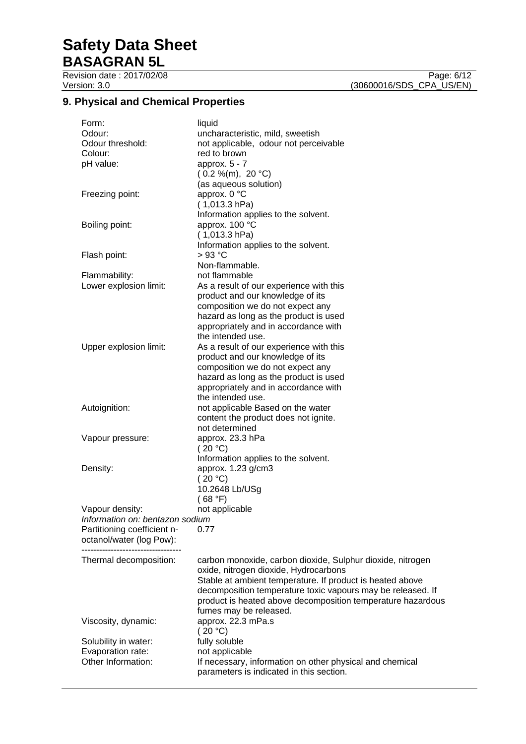Revision date : 2017/02/08 Page: 6/12<br>Version: 3.0 (30600016/SDS\_CPA\_US/EN)

# **9. Physical and Chemical Properties**

| Form:<br>Odour:<br>Odour threshold:<br>Colour:<br>pH value: | liquid<br>uncharacteristic, mild, sweetish<br>not applicable, odour not perceivable<br>red to brown<br>approx. $5 - 7$<br>(0.2 %(m), 20 °C)<br>(as aqueous solution)                                                                                                                                                     |
|-------------------------------------------------------------|--------------------------------------------------------------------------------------------------------------------------------------------------------------------------------------------------------------------------------------------------------------------------------------------------------------------------|
| Freezing point:                                             | approx. 0 °C<br>$(1,013.3)$ hPa)<br>Information applies to the solvent.                                                                                                                                                                                                                                                  |
| Boiling point:                                              | approx. 100 °C<br>$(1,013.3)$ hPa)<br>Information applies to the solvent.                                                                                                                                                                                                                                                |
| Flash point:                                                | $>93$ °C<br>Non-flammable.                                                                                                                                                                                                                                                                                               |
| Flammability:                                               | not flammable                                                                                                                                                                                                                                                                                                            |
| Lower explosion limit:                                      | As a result of our experience with this<br>product and our knowledge of its<br>composition we do not expect any<br>hazard as long as the product is used<br>appropriately and in accordance with<br>the intended use.                                                                                                    |
| Upper explosion limit:                                      | As a result of our experience with this<br>product and our knowledge of its<br>composition we do not expect any<br>hazard as long as the product is used<br>appropriately and in accordance with<br>the intended use.                                                                                                    |
| Autoignition:                                               | not applicable Based on the water<br>content the product does not ignite.<br>not determined                                                                                                                                                                                                                              |
| Vapour pressure:                                            | approx. 23.3 hPa<br>(20 °C)<br>Information applies to the solvent.                                                                                                                                                                                                                                                       |
| Density:                                                    | approx. 1.23 g/cm3<br>(20 °C)<br>10.2648 Lb/USg<br>(68 °F)                                                                                                                                                                                                                                                               |
| Vapour density:                                             | not applicable                                                                                                                                                                                                                                                                                                           |
| Information on: bentazon sodium                             |                                                                                                                                                                                                                                                                                                                          |
| Partitioning coefficient n-                                 | 0.77                                                                                                                                                                                                                                                                                                                     |
| octanol/water (log Pow):                                    |                                                                                                                                                                                                                                                                                                                          |
|                                                             |                                                                                                                                                                                                                                                                                                                          |
| Thermal decomposition:                                      | carbon monoxide, carbon dioxide, Sulphur dioxide, nitrogen<br>oxide, nitrogen dioxide, Hydrocarbons<br>Stable at ambient temperature. If product is heated above<br>decomposition temperature toxic vapours may be released. If<br>product is heated above decomposition temperature hazardous<br>fumes may be released. |
| Viscosity, dynamic:                                         | approx. 22.3 mPa.s<br>(20 °C)                                                                                                                                                                                                                                                                                            |
| Solubility in water:                                        | fully soluble                                                                                                                                                                                                                                                                                                            |
| Evaporation rate:                                           | not applicable                                                                                                                                                                                                                                                                                                           |
| Other Information:                                          | If necessary, information on other physical and chemical<br>parameters is indicated in this section.                                                                                                                                                                                                                     |

(30600016/SDS\_CPA\_US/EN)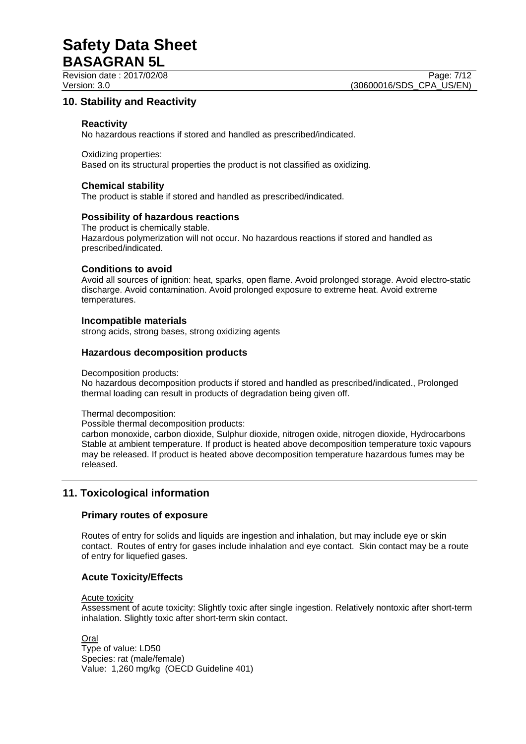Revision date : 2017/02/08 Page: 7/12

# **10. Stability and Reactivity**

## **Reactivity**

No hazardous reactions if stored and handled as prescribed/indicated.

Oxidizing properties: Based on its structural properties the product is not classified as oxidizing.

## **Chemical stability**

The product is stable if stored and handled as prescribed/indicated.

### **Possibility of hazardous reactions**

The product is chemically stable. Hazardous polymerization will not occur. No hazardous reactions if stored and handled as prescribed/indicated.

### **Conditions to avoid**

Avoid all sources of ignition: heat, sparks, open flame. Avoid prolonged storage. Avoid electro-static discharge. Avoid contamination. Avoid prolonged exposure to extreme heat. Avoid extreme temperatures.

# **Incompatible materials**

strong acids, strong bases, strong oxidizing agents

### **Hazardous decomposition products**

Decomposition products:

No hazardous decomposition products if stored and handled as prescribed/indicated., Prolonged thermal loading can result in products of degradation being given off.

Thermal decomposition:

Possible thermal decomposition products:

carbon monoxide, carbon dioxide, Sulphur dioxide, nitrogen oxide, nitrogen dioxide, Hydrocarbons Stable at ambient temperature. If product is heated above decomposition temperature toxic vapours may be released. If product is heated above decomposition temperature hazardous fumes may be released.

# **11. Toxicological information**

# **Primary routes of exposure**

Routes of entry for solids and liquids are ingestion and inhalation, but may include eye or skin contact. Routes of entry for gases include inhalation and eye contact. Skin contact may be a route of entry for liquefied gases.

# **Acute Toxicity/Effects**

Acute toxicity

Assessment of acute toxicity: Slightly toxic after single ingestion. Relatively nontoxic after short-term inhalation. Slightly toxic after short-term skin contact.

Oral

Type of value: LD50 Species: rat (male/female) Value: 1,260 mg/kg (OECD Guideline 401)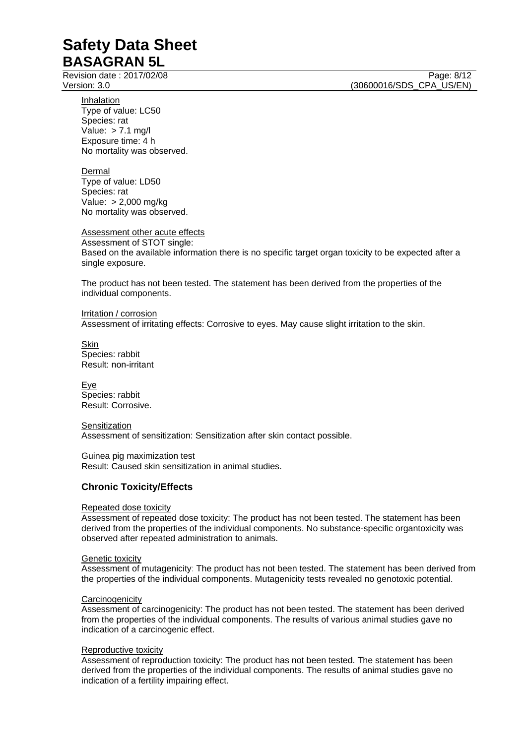Revision date : 2017/02/08 Page: 8/12

Version: 3.0 **(30600016/SDS\_CPA\_US/EN)** 

Inhalation Type of value: LC50 Species: rat Value: > 7.1 mg/l Exposure time: 4 h No mortality was observed.

Dermal Type of value: LD50 Species: rat Value: > 2,000 mg/kg No mortality was observed.

Assessment other acute effects Assessment of STOT single: Based on the available information there is no specific target organ toxicity to be expected after a single exposure.

The product has not been tested. The statement has been derived from the properties of the individual components.

Irritation / corrosion Assessment of irritating effects: Corrosive to eyes. May cause slight irritation to the skin.

Skin Species: rabbit Result: non-irritant

Eye Species: rabbit Result: Corrosive.

**Sensitization** Assessment of sensitization: Sensitization after skin contact possible.

Guinea pig maximization test Result: Caused skin sensitization in animal studies.

# **Chronic Toxicity/Effects**

### Repeated dose toxicity

Assessment of repeated dose toxicity: The product has not been tested. The statement has been derived from the properties of the individual components. No substance-specific organtoxicity was observed after repeated administration to animals.

### Genetic toxicity

Assessment of mutagenicity: The product has not been tested. The statement has been derived from the properties of the individual components. Mutagenicity tests revealed no genotoxic potential.

### **Carcinogenicity**

Assessment of carcinogenicity: The product has not been tested. The statement has been derived from the properties of the individual components. The results of various animal studies gave no indication of a carcinogenic effect.

### Reproductive toxicity

Assessment of reproduction toxicity: The product has not been tested. The statement has been derived from the properties of the individual components. The results of animal studies gave no indication of a fertility impairing effect.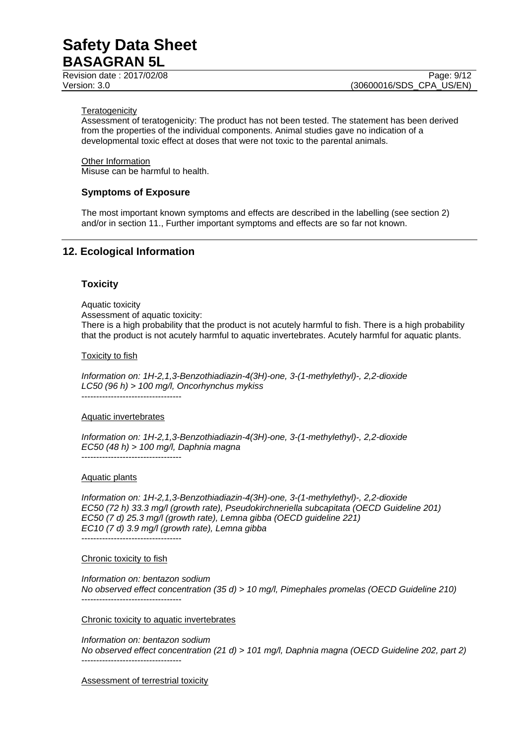Revision date : 2017/02/08 Page: 9/12

#### **Teratogenicity**

Assessment of teratogenicity: The product has not been tested. The statement has been derived from the properties of the individual components. Animal studies gave no indication of a developmental toxic effect at doses that were not toxic to the parental animals.

Other Information Misuse can be harmful to health.

### **Symptoms of Exposure**

The most important known symptoms and effects are described in the labelling (see section 2) and/or in section 11., Further important symptoms and effects are so far not known.

# **12. Ecological Information**

#### **Toxicity**

Aquatic toxicity Assessment of aquatic toxicity: There is a high probability that the product is not acutely harmful to fish. There is a high probability that the product is not acutely harmful to aquatic invertebrates. Acutely harmful for aquatic plants.

#### Toxicity to fish

*Information on: 1H-2,1,3-Benzothiadiazin-4(3H)-one, 3-(1-methylethyl)-, 2,2-dioxide LC50 (96 h) > 100 mg/l, Oncorhynchus mykiss* 

----------------------------------

#### Aquatic invertebrates

*Information on: 1H-2,1,3-Benzothiadiazin-4(3H)-one, 3-(1-methylethyl)-, 2,2-dioxide EC50 (48 h) > 100 mg/l, Daphnia magna*  ----------------------------------

### Aquatic plants

*Information on: 1H-2,1,3-Benzothiadiazin-4(3H)-one, 3-(1-methylethyl)-, 2,2-dioxide EC50 (72 h) 33.3 mg/l (growth rate), Pseudokirchneriella subcapitata (OECD Guideline 201) EC50 (7 d) 25.3 mg/l (growth rate), Lemna gibba (OECD guideline 221) EC10 (7 d) 3.9 mg/l (growth rate), Lemna gibba*  ----------------------------------

### Chronic toxicity to fish

*Information on: bentazon sodium No observed effect concentration (35 d) > 10 mg/l, Pimephales promelas (OECD Guideline 210)*  ----------------------------------

Chronic toxicity to aquatic invertebrates

*Information on: bentazon sodium No observed effect concentration (21 d) > 101 mg/l, Daphnia magna (OECD Guideline 202, part 2)*  ----------------------------------

Assessment of terrestrial toxicity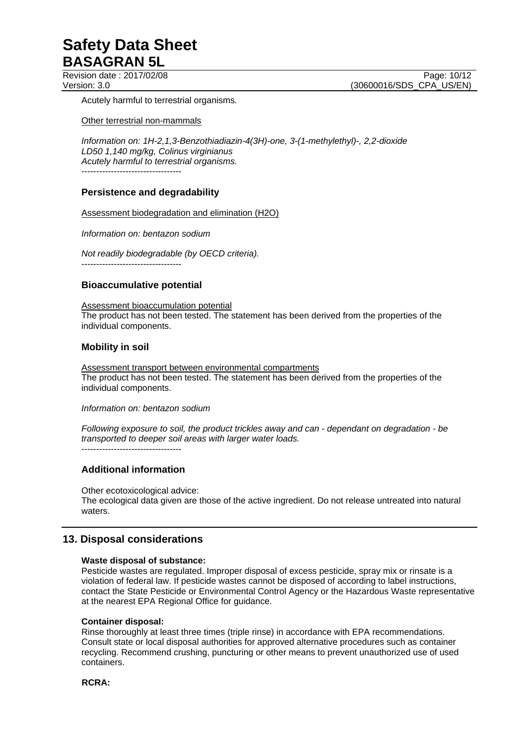Revision date : 2017/02/08 Page: 10/12

Version: 3.0 **(30600016/SDS\_CPA\_US/EN)** 

Acutely harmful to terrestrial organisms.

Other terrestrial non-mammals

*Information on: 1H-2,1,3-Benzothiadiazin-4(3H)-one, 3-(1-methylethyl)-, 2,2-dioxide LD50 1,140 mg/kg, Colinus virginianus Acutely harmful to terrestrial organisms.*  ----------------------------------

# **Persistence and degradability**

Assessment biodegradation and elimination (H2O)

*Information on: bentazon sodium* 

*Not readily biodegradable (by OECD criteria).*  ----------------------------------

### **Bioaccumulative potential**

Assessment bioaccumulation potential The product has not been tested. The statement has been derived from the properties of the individual components.

# **Mobility in soil**

Assessment transport between environmental compartments The product has not been tested. The statement has been derived from the properties of the individual components.

*Information on: bentazon sodium* 

*Following exposure to soil, the product trickles away and can - dependant on degradation - be transported to deeper soil areas with larger water loads.*  $-$ 

# **Additional information**

Other ecotoxicological advice: The ecological data given are those of the active ingredient. Do not release untreated into natural waters.

# **13. Disposal considerations**

### **Waste disposal of substance:**

Pesticide wastes are regulated. Improper disposal of excess pesticide, spray mix or rinsate is a violation of federal law. If pesticide wastes cannot be disposed of according to label instructions, contact the State Pesticide or Environmental Control Agency or the Hazardous Waste representative at the nearest EPA Regional Office for guidance.

### **Container disposal:**

Rinse thoroughly at least three times (triple rinse) in accordance with EPA recommendations. Consult state or local disposal authorities for approved alternative procedures such as container recycling. Recommend crushing, puncturing or other means to prevent unauthorized use of used containers.

**RCRA:**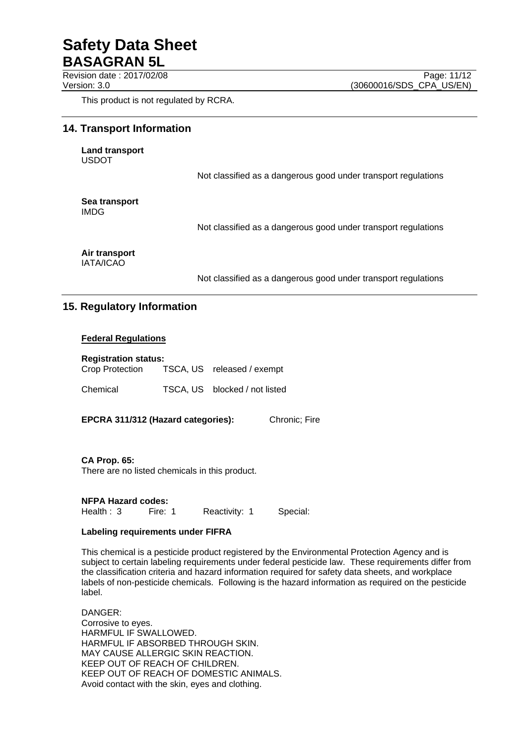Revision date : 2017/02/08 Page: 11/12

This product is not regulated by RCRA.

# **14. Transport Information**

**Land transport**  USDOT

Not classified as a dangerous good under transport regulations

**Sea transport**  IMDG

Not classified as a dangerous good under transport regulations

**Air transport**  IATA/ICAO

Not classified as a dangerous good under transport regulations

# **15. Regulatory Information**

### **Federal Regulations**

#### **Registration status:**

| Crop Protection | TSCA, US released / exempt    |
|-----------------|-------------------------------|
| Chemical        | TSCA, US blocked / not listed |

**EPCRA 311/312 (Hazard categories):** Chronic; Fire

**CA Prop. 65:**  There are no listed chemicals in this product.

**NFPA Hazard codes:**

Health : 3 Fire: 1 Reactivity: 1 Special:

### **Labeling requirements under FIFRA**

This chemical is a pesticide product registered by the Environmental Protection Agency and is subject to certain labeling requirements under federal pesticide law. These requirements differ from the classification criteria and hazard information required for safety data sheets, and workplace labels of non-pesticide chemicals. Following is the hazard information as required on the pesticide label.

DANGER: Corrosive to eyes. HARMFUL IF SWALLOWED. HARMFUL IF ABSORBED THROUGH SKIN. MAY CAUSE ALLERGIC SKIN REACTION. KEEP OUT OF REACH OF CHILDREN. KEEP OUT OF REACH OF DOMESTIC ANIMALS. Avoid contact with the skin, eyes and clothing.